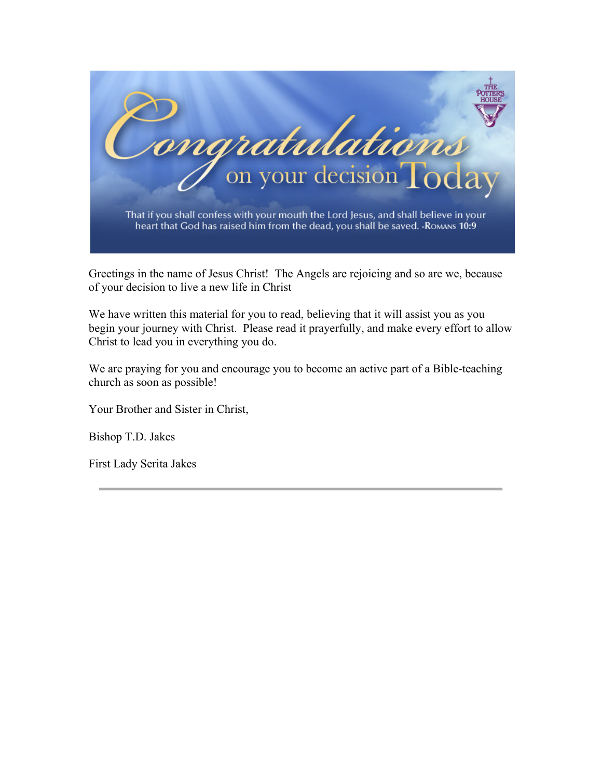

Greetings in the name of Jesus Christ! The Angels are rejoicing and so are we, because of your decision to live a new life in Christ

We have written this material for you to read, believing that it will assist you as you begin your journey with Christ. Please read it prayerfully, and make every effort to allow Christ to lead you in everything you do.

We are praying for you and encourage you to become an active part of a Bible-teaching church as soon as possible!

Your Brother and Sister in Christ,

Bishop T.D. Jakes

First Lady Serita Jakes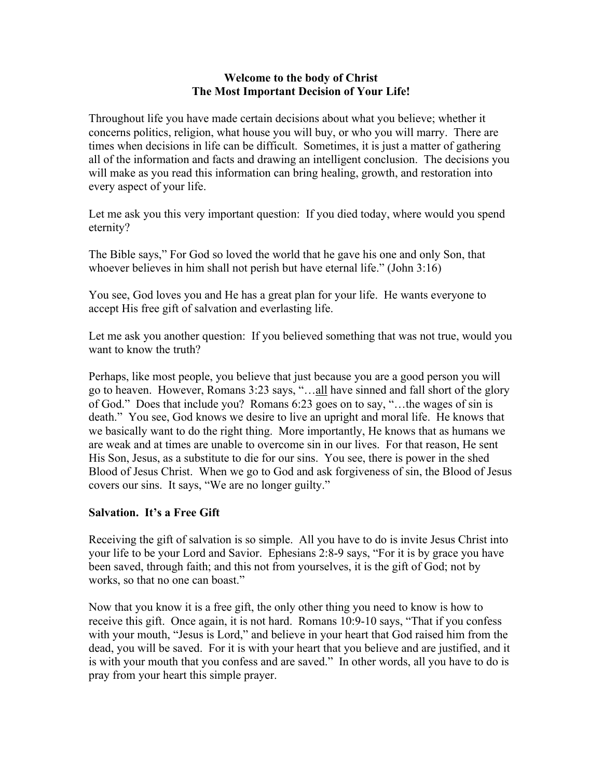### **Welcome to the body of Christ The Most Important Decision of Your Life!**

Throughout life you have made certain decisions about what you believe; whether it concerns politics, religion, what house you will buy, or who you will marry. There are times when decisions in life can be difficult. Sometimes, it is just a matter of gathering all of the information and facts and drawing an intelligent conclusion. The decisions you will make as you read this information can bring healing, growth, and restoration into every aspect of your life.

Let me ask you this very important question: If you died today, where would you spend eternity?

The Bible says," For God so loved the world that he gave his one and only Son, that whoever believes in him shall not perish but have eternal life." (John 3:16)

You see, God loves you and He has a great plan for your life. He wants everyone to accept His free gift of salvation and everlasting life.

Let me ask you another question: If you believed something that was not true, would you want to know the truth?

Perhaps, like most people, you believe that just because you are a good person you will go to heaven. However, Romans 3:23 says, "…all have sinned and fall short of the glory of God." Does that include you? Romans 6:23 goes on to say, "…the wages of sin is death." You see, God knows we desire to live an upright and moral life. He knows that we basically want to do the right thing. More importantly, He knows that as humans we are weak and at times are unable to overcome sin in our lives. For that reason, He sent His Son, Jesus, as a substitute to die for our sins. You see, there is power in the shed Blood of Jesus Christ. When we go to God and ask forgiveness of sin, the Blood of Jesus covers our sins. It says, "We are no longer guilty."

# **Salvation. It's a Free Gift**

Receiving the gift of salvation is so simple. All you have to do is invite Jesus Christ into your life to be your Lord and Savior. Ephesians 2:8-9 says, "For it is by grace you have been saved, through faith; and this not from yourselves, it is the gift of God; not by works, so that no one can boast."

Now that you know it is a free gift, the only other thing you need to know is how to receive this gift. Once again, it is not hard. Romans 10:9-10 says, "That if you confess with your mouth, "Jesus is Lord," and believe in your heart that God raised him from the dead, you will be saved. For it is with your heart that you believe and are justified, and it is with your mouth that you confess and are saved." In other words, all you have to do is pray from your heart this simple prayer.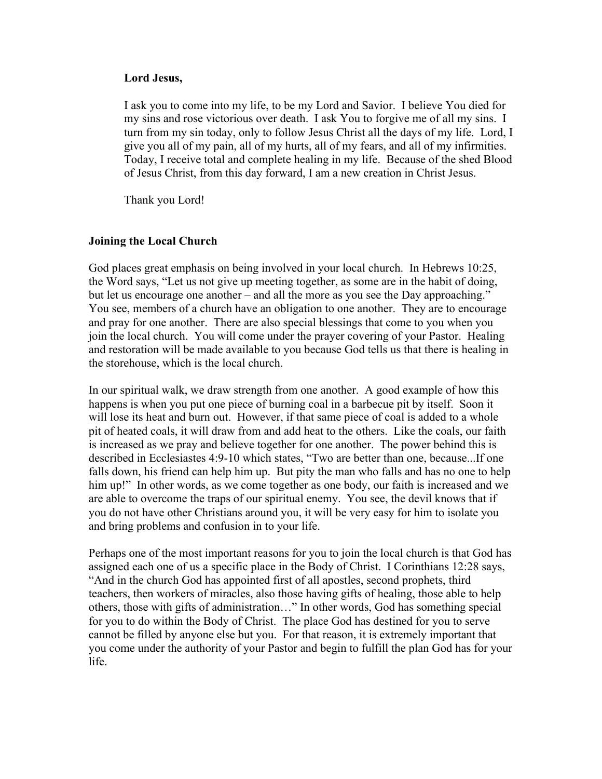### **Lord Jesus,**

I ask you to come into my life, to be my Lord and Savior. I believe You died for my sins and rose victorious over death. I ask You to forgive me of all my sins. I turn from my sin today, only to follow Jesus Christ all the days of my life. Lord, I give you all of my pain, all of my hurts, all of my fears, and all of my infirmities. Today, I receive total and complete healing in my life. Because of the shed Blood of Jesus Christ, from this day forward, I am a new creation in Christ Jesus.

Thank you Lord!

### **Joining the Local Church**

God places great emphasis on being involved in your local church. In Hebrews 10:25, the Word says, "Let us not give up meeting together, as some are in the habit of doing, but let us encourage one another – and all the more as you see the Day approaching." You see, members of a church have an obligation to one another. They are to encourage and pray for one another. There are also special blessings that come to you when you join the local church. You will come under the prayer covering of your Pastor. Healing and restoration will be made available to you because God tells us that there is healing in the storehouse, which is the local church.

In our spiritual walk, we draw strength from one another. A good example of how this happens is when you put one piece of burning coal in a barbecue pit by itself. Soon it will lose its heat and burn out. However, if that same piece of coal is added to a whole pit of heated coals, it will draw from and add heat to the others. Like the coals, our faith is increased as we pray and believe together for one another. The power behind this is described in Ecclesiastes 4:9-10 which states, "Two are better than one, because...If one falls down, his friend can help him up. But pity the man who falls and has no one to help him up!" In other words, as we come together as one body, our faith is increased and we are able to overcome the traps of our spiritual enemy. You see, the devil knows that if you do not have other Christians around you, it will be very easy for him to isolate you and bring problems and confusion in to your life.

Perhaps one of the most important reasons for you to join the local church is that God has assigned each one of us a specific place in the Body of Christ. I Corinthians 12:28 says, "And in the church God has appointed first of all apostles, second prophets, third teachers, then workers of miracles, also those having gifts of healing, those able to help others, those with gifts of administration…" In other words, God has something special for you to do within the Body of Christ. The place God has destined for you to serve cannot be filled by anyone else but you. For that reason, it is extremely important that you come under the authority of your Pastor and begin to fulfill the plan God has for your life.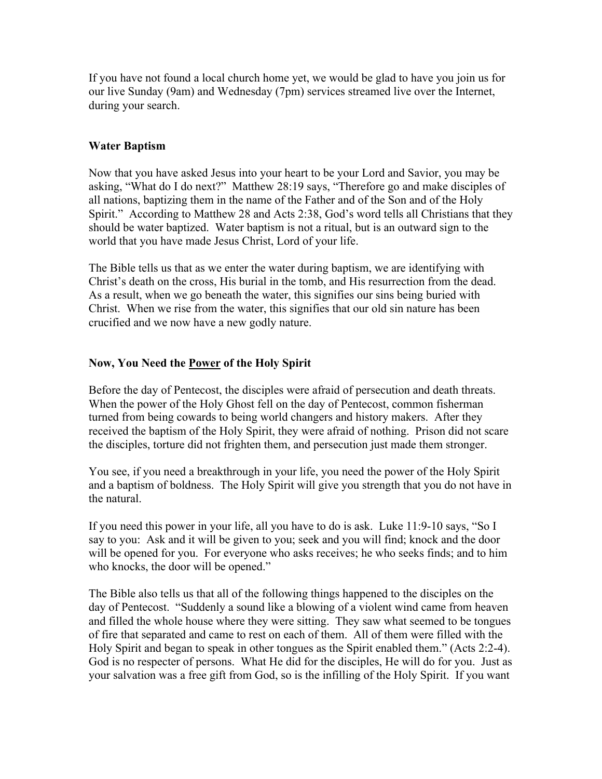If you have not found a local church home yet, we would be glad to have you join us for our live Sunday (9am) and Wednesday (7pm) services streamed live over the Internet, during your search.

# **Water Baptism**

Now that you have asked Jesus into your heart to be your Lord and Savior, you may be asking, "What do I do next?" Matthew 28:19 says, "Therefore go and make disciples of all nations, baptizing them in the name of the Father and of the Son and of the Holy Spirit." According to Matthew 28 and Acts 2:38, God's word tells all Christians that they should be water baptized. Water baptism is not a ritual, but is an outward sign to the world that you have made Jesus Christ, Lord of your life.

The Bible tells us that as we enter the water during baptism, we are identifying with Christ's death on the cross, His burial in the tomb, and His resurrection from the dead. As a result, when we go beneath the water, this signifies our sins being buried with Christ. When we rise from the water, this signifies that our old sin nature has been crucified and we now have a new godly nature.

# **Now, You Need the Power of the Holy Spirit**

Before the day of Pentecost, the disciples were afraid of persecution and death threats. When the power of the Holy Ghost fell on the day of Pentecost, common fisherman turned from being cowards to being world changers and history makers. After they received the baptism of the Holy Spirit, they were afraid of nothing. Prison did not scare the disciples, torture did not frighten them, and persecution just made them stronger.

You see, if you need a breakthrough in your life, you need the power of the Holy Spirit and a baptism of boldness. The Holy Spirit will give you strength that you do not have in the natural.

If you need this power in your life, all you have to do is ask. Luke 11:9-10 says, "So I say to you: Ask and it will be given to you; seek and you will find; knock and the door will be opened for you. For everyone who asks receives; he who seeks finds; and to him who knocks, the door will be opened."

The Bible also tells us that all of the following things happened to the disciples on the day of Pentecost. "Suddenly a sound like a blowing of a violent wind came from heaven and filled the whole house where they were sitting. They saw what seemed to be tongues of fire that separated and came to rest on each of them. All of them were filled with the Holy Spirit and began to speak in other tongues as the Spirit enabled them." (Acts 2:2-4). God is no respecter of persons. What He did for the disciples, He will do for you. Just as your salvation was a free gift from God, so is the infilling of the Holy Spirit. If you want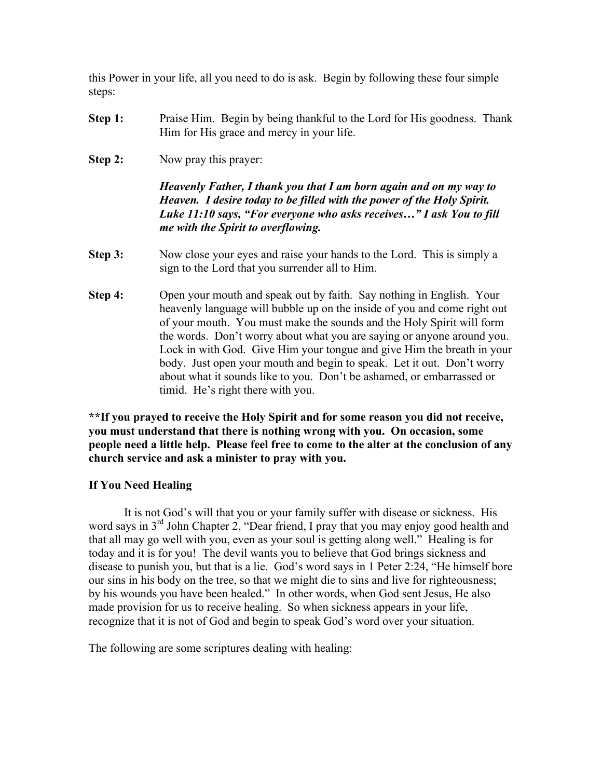this Power in your life, all you need to do is ask. Begin by following these four simple steps:

- **Step 1:** Praise Him. Begin by being thankful to the Lord for His goodness. Thank Him for His grace and mercy in your life.
- **Step 2:** Now pray this prayer:

*Heavenly Father, I thank you that I am born again and on my way to Heaven. I desire today to be filled with the power of the Holy Spirit. Luke 11:10 says, "For everyone who asks receives…" I ask You to fill me with the Spirit to overflowing.*

- **Step 3:** Now close your eyes and raise your hands to the Lord. This is simply a sign to the Lord that you surrender all to Him.
- **Step 4:** Open your mouth and speak out by faith. Say nothing in English. Your heavenly language will bubble up on the inside of you and come right out of your mouth. You must make the sounds and the Holy Spirit will form the words. Don't worry about what you are saying or anyone around you. Lock in with God. Give Him your tongue and give Him the breath in your body. Just open your mouth and begin to speak. Let it out. Don't worry about what it sounds like to you. Don't be ashamed, or embarrassed or timid. He's right there with you.

**\*\*If you prayed to receive the Holy Spirit and for some reason you did not receive, you must understand that there is nothing wrong with you. On occasion, some people need a little help. Please feel free to come to the alter at the conclusion of any church service and ask a minister to pray with you.**

### **If You Need Healing**

It is not God's will that you or your family suffer with disease or sickness. His word says in  $3<sup>rd</sup>$  John Chapter 2, "Dear friend, I pray that you may enjoy good health and that all may go well with you, even as your soul is getting along well." Healing is for today and it is for you! The devil wants you to believe that God brings sickness and disease to punish you, but that is a lie. God's word says in 1 Peter 2:24, "He himself bore our sins in his body on the tree, so that we might die to sins and live for righteousness; by his wounds you have been healed." In other words, when God sent Jesus, He also made provision for us to receive healing. So when sickness appears in your life, recognize that it is not of God and begin to speak God's word over your situation.

The following are some scriptures dealing with healing: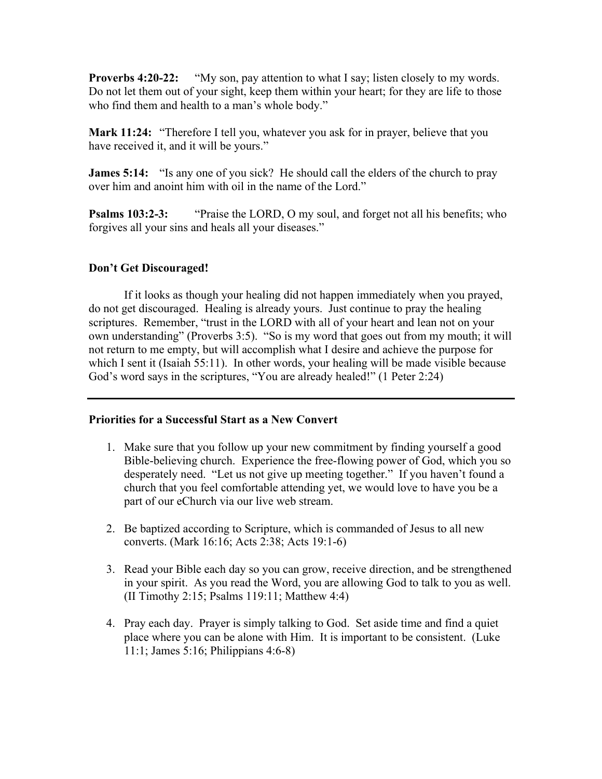**Proverbs 4:20-22:** "My son, pay attention to what I say; listen closely to my words. Do not let them out of your sight, keep them within your heart; for they are life to those who find them and health to a man's whole body."

**Mark 11:24:** "Therefore I tell you, whatever you ask for in prayer, believe that you have received it, and it will be yours."

**James 5:14:** "Is any one of you sick? He should call the elders of the church to pray over him and anoint him with oil in the name of the Lord."

**Psalms 103:2-3:** "Praise the LORD, O my soul, and forget not all his benefits; who forgives all your sins and heals all your diseases."

# **Don't Get Discouraged!**

If it looks as though your healing did not happen immediately when you prayed, do not get discouraged. Healing is already yours. Just continue to pray the healing scriptures. Remember, "trust in the LORD with all of your heart and lean not on your own understanding" (Proverbs 3:5). "So is my word that goes out from my mouth; it will not return to me empty, but will accomplish what I desire and achieve the purpose for which I sent it (Isaiah 55:11). In other words, your healing will be made visible because God's word says in the scriptures, "You are already healed!" (1 Peter 2:24)

### **Priorities for a Successful Start as a New Convert**

- 1. Make sure that you follow up your new commitment by finding yourself a good Bible-believing church. Experience the free-flowing power of God, which you so desperately need. "Let us not give up meeting together." If you haven't found a church that you feel comfortable attending yet, we would love to have you be a part of our eChurch via our live web stream.
- 2. Be baptized according to Scripture, which is commanded of Jesus to all new converts. (Mark 16:16; Acts 2:38; Acts 19:1-6)
- 3. Read your Bible each day so you can grow, receive direction, and be strengthened in your spirit. As you read the Word, you are allowing God to talk to you as well. (II Timothy 2:15; Psalms 119:11; Matthew 4:4)
- 4. Pray each day. Prayer is simply talking to God. Set aside time and find a quiet place where you can be alone with Him. It is important to be consistent. (Luke 11:1; James 5:16; Philippians 4:6-8)